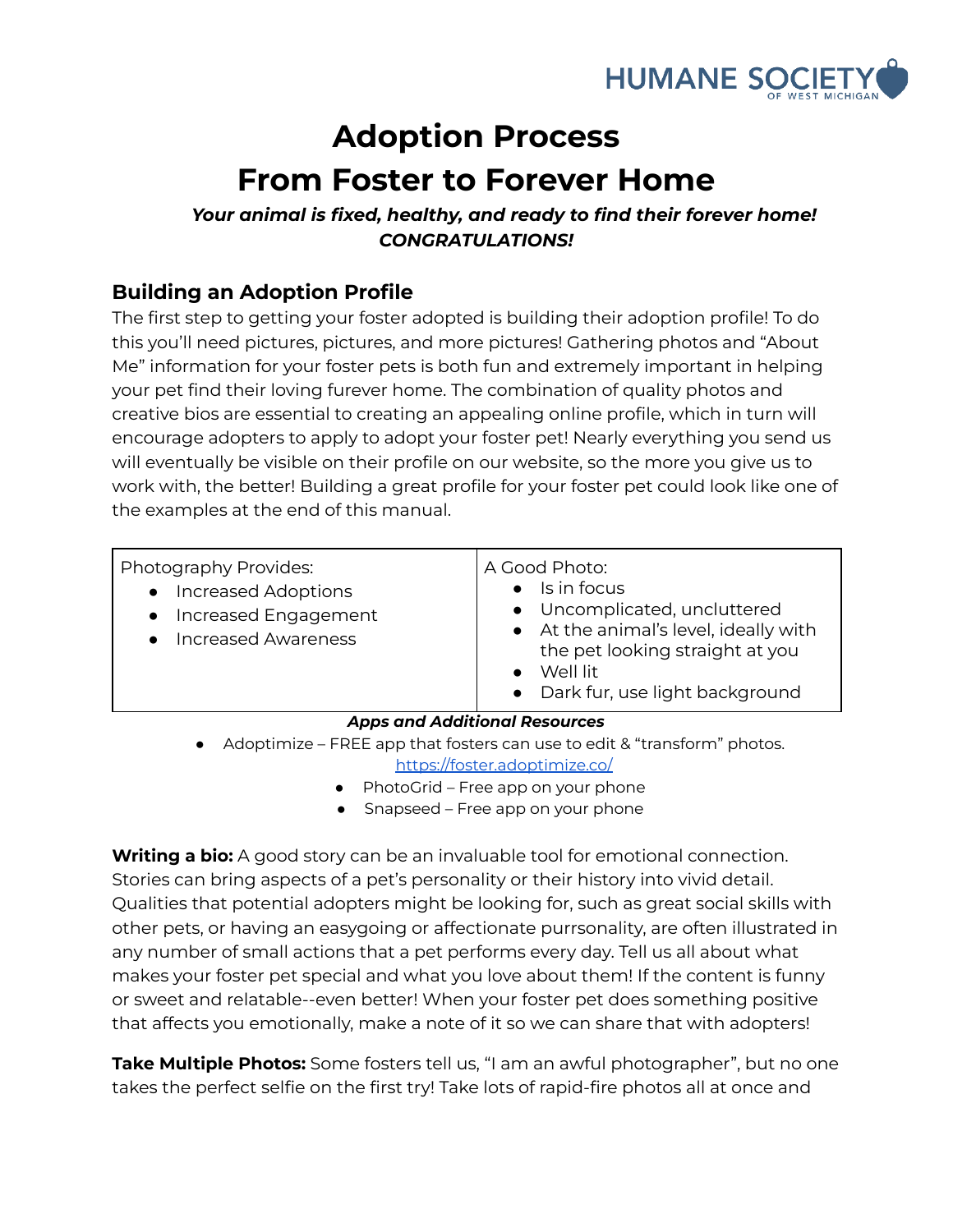

## **Adoption Process From Foster to Forever Home**

## *Your animal is fixed, healthy, and ready to find their forever home! CONGRATULATIONS!*

## **Building an Adoption Profile**

The first step to getting your foster adopted is building their adoption profile! To do this you'll need pictures, pictures, and more pictures! Gathering photos and "About Me" information for your foster pets is both fun and extremely important in helping your pet find their loving furever home. The combination of quality photos and creative bios are essential to creating an appealing online profile, which in turn will encourage adopters to apply to adopt your foster pet! Nearly everything you send us will eventually be visible on their profile on our website, so the more you give us to work with, the better! Building a great profile for your foster pet could look like one of the examples at the end of this manual.

| Photography Provides:<br><b>Increased Adoptions</b><br>Increased Engagement<br><b>Increased Awareness</b> | A Good Photo:<br>Is in focus<br>$\bullet$<br>• Uncomplicated, uncluttered<br>• At the animal's level, ideally with<br>the pet looking straight at you<br>Well lit<br>$\bullet$<br>• Dark fur, use light background |
|-----------------------------------------------------------------------------------------------------------|--------------------------------------------------------------------------------------------------------------------------------------------------------------------------------------------------------------------|
| <b>Apps and Additional Resources</b>                                                                      |                                                                                                                                                                                                                    |
| Adoptimize - FREE app that fosters can use to edit & "transform" photos.<br>$\bullet$                     |                                                                                                                                                                                                                    |
| https://foster.adoptimize.co/                                                                             |                                                                                                                                                                                                                    |

- PhotoGrid Free app on your phone
- Snapseed Free app on your phone

**Writing a bio:** A good story can be an invaluable tool for emotional connection. Stories can bring aspects of a pet's personality or their history into vivid detail. Qualities that potential adopters might be looking for, such as great social skills with other pets, or having an easygoing or affectionate purrsonality, are often illustrated in any number of small actions that a pet performs every day. Tell us all about what makes your foster pet special and what you love about them! If the content is funny or sweet and relatable--even better! When your foster pet does something positive that affects you emotionally, make a note of it so we can share that with adopters!

**Take Multiple Photos:** Some fosters tell us, "I am an awful photographer", but no one takes the perfect selfie on the first try! Take lots of rapid-fire photos all at once and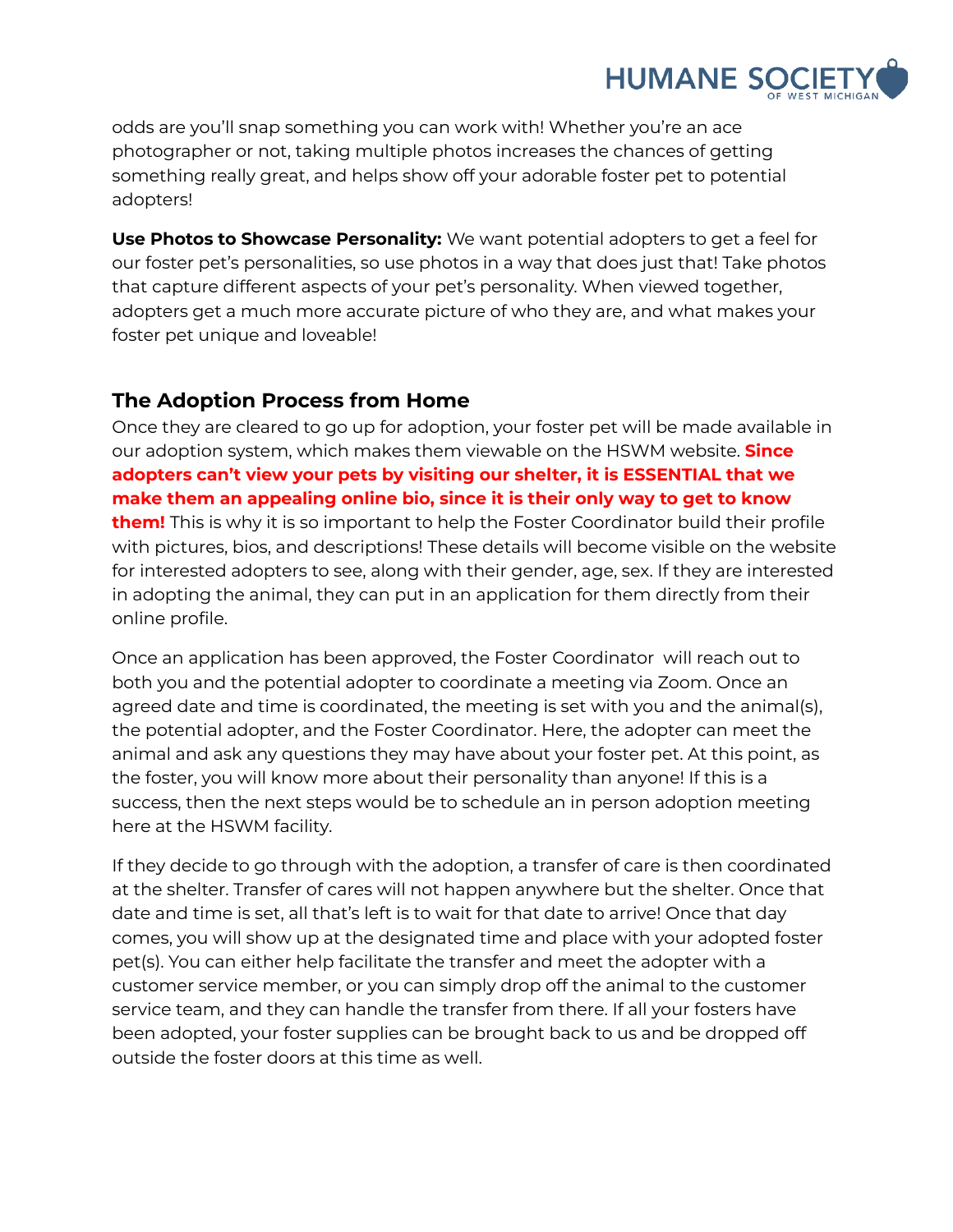

odds are you'll snap something you can work with! Whether you're an ace photographer or not, taking multiple photos increases the chances of getting something really great, and helps show off your adorable foster pet to potential adopters!

**Use Photos to Showcase Personality:** We want potential adopters to get a feel for our foster pet's personalities, so use photos in a way that does just that! Take photos that capture different aspects of your pet's personality. When viewed together, adopters get a much more accurate picture of who they are, and what makes your foster pet unique and loveable!

## **The Adoption Process from Home**

Once they are cleared to go up for adoption, your foster pet will be made available in our adoption system, which makes them viewable on the HSWM website. **Since adopters can't view your pets by visiting our shelter, it is ESSENTIAL that we make them an appealing online bio, since it is their only way to get to know them!** This is why it is so important to help the Foster Coordinator build their profile with pictures, bios, and descriptions! These details will become visible on the website for interested adopters to see, along with their gender, age, sex. If they are interested in adopting the animal, they can put in an application for them directly from their online profile.

Once an application has been approved, the Foster Coordinator will reach out to both you and the potential adopter to coordinate a meeting via Zoom. Once an agreed date and time is coordinated, the meeting is set with you and the animal(s), the potential adopter, and the Foster Coordinator. Here, the adopter can meet the animal and ask any questions they may have about your foster pet. At this point, as the foster, you will know more about their personality than anyone! If this is a success, then the next steps would be to schedule an in person adoption meeting here at the HSWM facility.

If they decide to go through with the adoption, a transfer of care is then coordinated at the shelter. Transfer of cares will not happen anywhere but the shelter. Once that date and time is set, all that's left is to wait for that date to arrive! Once that day comes, you will show up at the designated time and place with your adopted foster pet(s). You can either help facilitate the transfer and meet the adopter with a customer service member, or you can simply drop off the animal to the customer service team, and they can handle the transfer from there. If all your fosters have been adopted, your foster supplies can be brought back to us and be dropped off outside the foster doors at this time as well.